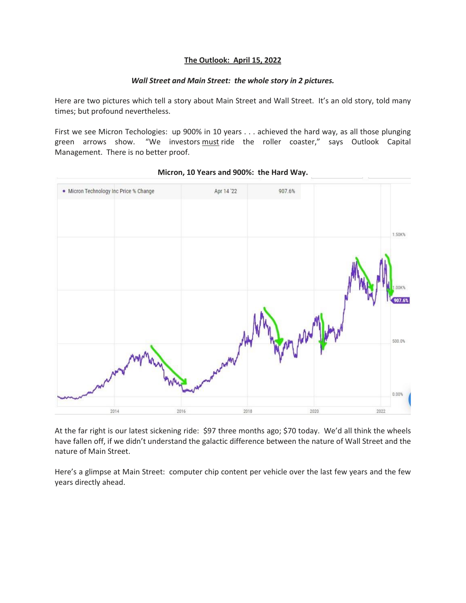## **The Outlook: April 15, 2022**

## *Wall Street and Main Street: the whole story in 2 pictures.*

Here are two pictures which tell a story about Main Street and Wall Street. It's an old story, told many times; but profound nevertheless.

First we see Micron Techologies: up 900% in 10 years . . . achieved the hard way, as all those plunging green arrows show. "We investors must ride the roller coaster," says Outlook Capital Management. There is no better proof.



## **Micron, 10 Years and 900%: the Hard Way.**

At the far right is our latest sickening ride: \$97 three months ago; \$70 today. We'd all think the wheels have fallen off, if we didn't understand the galactic difference between the nature of Wall Street and the nature of Main Street.

Here's a glimpse at Main Street: computer chip content per vehicle over the last few years and the few years directly ahead.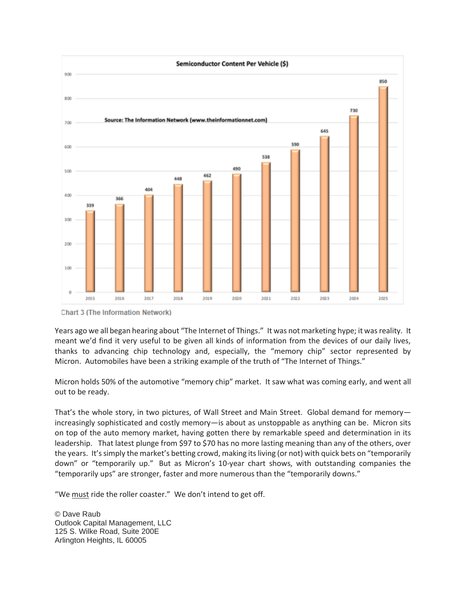

**Chart 3 (The Information Network)** 

Years ago we all began hearing about "The Internet of Things." It was not marketing hype; it was reality. It meant we'd find it very useful to be given all kinds of information from the devices of our daily lives, thanks to advancing chip technology and, especially, the "memory chip" sector represented by Micron. Automobiles have been a striking example of the truth of "The Internet of Things."

Micron holds 50% of the automotive "memory chip" market. It saw what was coming early, and went all out to be ready.

That's the whole story, in two pictures, of Wall Street and Main Street. Global demand for memoryincreasingly sophisticated and costly memory—is about as unstoppable as anything can be. Micron sits on top of the auto memory market, having gotten there by remarkable speed and determination in its leadership. That latest plunge from \$97 to \$70 has no more lasting meaning than any of the others, over the years. It's simply the market's betting crowd, making its living (or not) with quick bets on "temporarily down" or "temporarily up." But as Micron's 10-year chart shows, with outstanding companies the "temporarily ups" are stronger, faster and more numerous than the "temporarily downs."

"We must ride the roller coaster." We don't intend to get off.

© Dave Raub Outlook Capital Management, LLC 125 S. Wilke Road, Suite 200E Arlington Heights, IL 60005